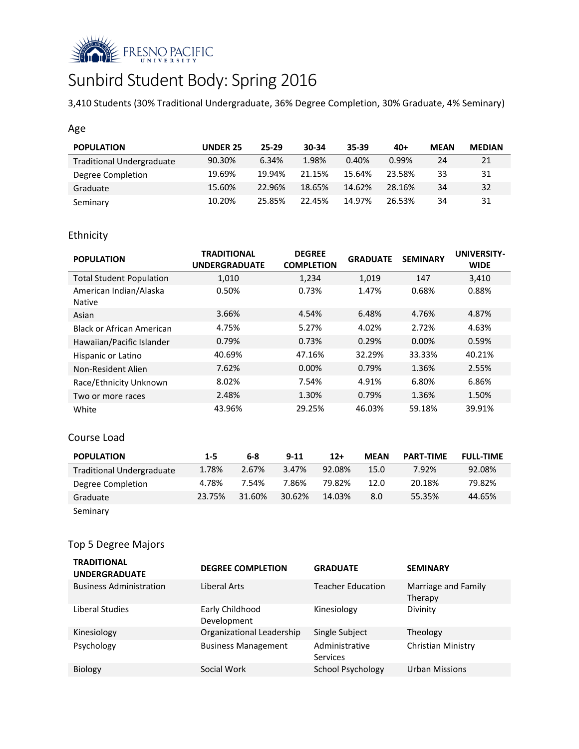

# Sunbird Student Body: Spring 2016

3,410 Students (30% Traditional Undergraduate, 36% Degree Completion, 30% Graduate, 4% Seminary)

## Age

| <b>POPULATION</b>                | <b>UNDER 25</b> | 25-29  | 30-34  | $35 - 39$ | $40+$  | <b>MEAN</b> | <b>MEDIAN</b> |
|----------------------------------|-----------------|--------|--------|-----------|--------|-------------|---------------|
| <b>Traditional Undergraduate</b> | 90.30%          | 6.34%  | 1.98%  | 0.40%     | 0.99%  | 24          | 21            |
| Degree Completion                | 19.69%          | 19.94% | 21.15% | 15.64%    | 23.58% | 33          | 31            |
| Graduate                         | 15.60%          | 22.96% | 18.65% | 14.62%    | 28.16% | 34          | 32            |
| Seminary                         | 10.20%          | 25.85% | 22.45% | 14.97%    | 26.53% | 34          | 31            |

# Ethnicity

| <b>POPULATION</b>                       | <b>TRADITIONAL</b><br><b>UNDERGRADUATE</b> | <b>DEGREE</b><br><b>COMPLETION</b> | <b>GRADUATE</b> | <b>SEMINARY</b> | <b>UNIVERSITY-</b><br><b>WIDE</b> |
|-----------------------------------------|--------------------------------------------|------------------------------------|-----------------|-----------------|-----------------------------------|
| <b>Total Student Population</b>         | 1,010                                      | 1,234                              | 1,019           | 147             | 3,410                             |
| American Indian/Alaska<br><b>Native</b> | 0.50%                                      | 0.73%                              | 1.47%           | 0.68%           | 0.88%                             |
| Asian                                   | 3.66%                                      | 4.54%                              | 6.48%           | 4.76%           | 4.87%                             |
| Black or African American               | 4.75%                                      | 5.27%                              | 4.02%           | 2.72%           | 4.63%                             |
| Hawaiian/Pacific Islander               | 0.79%                                      | 0.73%                              | 0.29%           | $0.00\%$        | 0.59%                             |
| Hispanic or Latino                      | 40.69%                                     | 47.16%                             | 32.29%          | 33.33%          | 40.21%                            |
| Non-Resident Alien                      | 7.62%                                      | $0.00\%$                           | 0.79%           | 1.36%           | 2.55%                             |
| Race/Ethnicity Unknown                  | 8.02%                                      | 7.54%                              | 4.91%           | 6.80%           | 6.86%                             |
| Two or more races                       | 2.48%                                      | 1.30%                              | 0.79%           | 1.36%           | 1.50%                             |
| White                                   | 43.96%                                     | 29.25%                             | 46.03%          | 59.18%          | 39.91%                            |

#### Course Load

| <b>POPULATION</b>                | $1 - 5$ | 6-8    | $9 - 11$ | $12+$  | <b>MEAN</b> | <b>PART-TIME</b> | <b>FULL-TIME</b> |
|----------------------------------|---------|--------|----------|--------|-------------|------------------|------------------|
| <b>Traditional Undergraduate</b> | 1.78%   | 2.67%  | 3.47%    | 92.08% | 15.0        | 7.92%            | 92.08%           |
| Degree Completion                | 4.78%   | 7.54%  | 7.86%    | 79.82% | 12.0        | 20.18%           | 79.82%           |
| Graduate                         | 23.75%  | 31.60% | 30.62%   | 14.03% | 8.0         | 55.35%           | 44.65%           |
| Seminary                         |         |        |          |        |             |                  |                  |

# Top 5 Degree Majors

| <b>TRADITIONAL</b><br><b>UNDERGRADUATE</b> | <b>DEGREE COMPLETION</b>       | <b>GRADUATE</b>            | <b>SEMINARY</b>                |
|--------------------------------------------|--------------------------------|----------------------------|--------------------------------|
| <b>Business Administration</b>             | Liberal Arts                   | <b>Teacher Education</b>   | Marriage and Family<br>Therapy |
| Liberal Studies                            | Early Childhood<br>Development | Kinesiology                | Divinity                       |
| Kinesiology                                | Organizational Leadership      | Single Subject             | Theology                       |
| Psychology                                 | <b>Business Management</b>     | Administrative<br>Services | Christian Ministry             |
| <b>Biology</b>                             | Social Work                    | School Psychology          | <b>Urban Missions</b>          |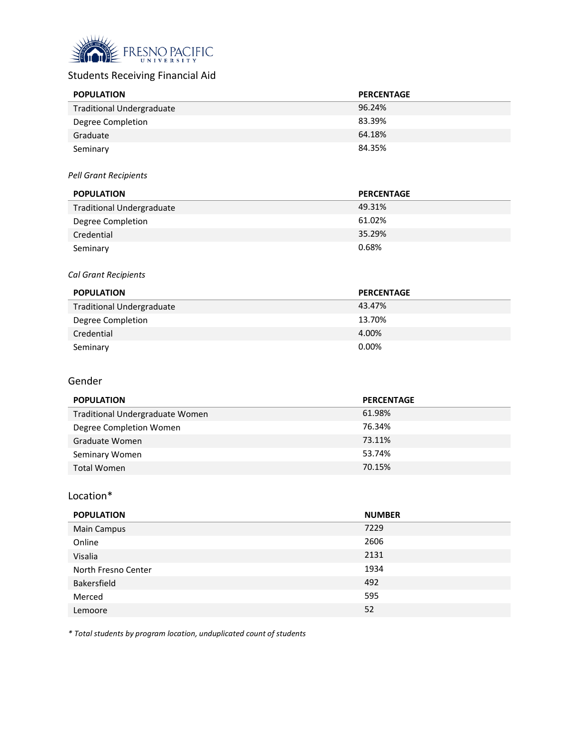

# Students Receiving Financial Aid

| <b>POPULATION</b>                | <b>PERCENTAGE</b> |
|----------------------------------|-------------------|
| <b>Traditional Undergraduate</b> | 96.24%            |
| Degree Completion                | 83.39%            |
| Graduate                         | 64.18%            |
| Seminary                         | 84.35%            |

#### *Pell Grant Recipients*

| <b>POPULATION</b>                | <b>PERCENTAGE</b> |
|----------------------------------|-------------------|
| <b>Traditional Undergraduate</b> | 49.31%            |
| Degree Completion                | 61.02%            |
| Credential                       | 35.29%            |
| Seminary                         | 0.68%             |

#### *Cal Grant Recipients*

| <b>POPULATION</b>                | <b>PERCENTAGE</b> |
|----------------------------------|-------------------|
| <b>Traditional Undergraduate</b> | 43.47%            |
| Degree Completion                | 13.70%            |
| Credential                       | 4.00%             |
| Seminary                         | 0.00%             |

#### Gender

| <b>POPULATION</b>               | <b>PERCENTAGE</b> |
|---------------------------------|-------------------|
| Traditional Undergraduate Women | 61.98%            |
| Degree Completion Women         | 76.34%            |
| Graduate Women                  | 73.11%            |
| Seminary Women                  | 53.74%            |
| Total Women                     | 70.15%            |

#### Location\*

| <b>POPULATION</b>   | <b>NUMBER</b> |
|---------------------|---------------|
| <b>Main Campus</b>  | 7229          |
| Online              | 2606          |
| Visalia             | 2131          |
| North Fresno Center | 1934          |
| Bakersfield         | 492           |
| Merced              | 595           |
| Lemoore             | 52            |

*\* Total students by program location, unduplicated count of students*